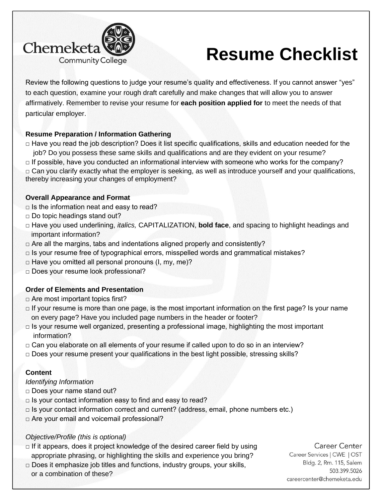

# **Resume Checklist**

Review the following questions to judge your resume's quality and effectiveness. If you cannot answer "yes" to each question, examine your rough draft carefully and make changes that will allow you to answer affirmatively. Remember to revise your resume for **each position applied for** to meet the needs of that particular employer.

#### **Resume Preparation / Information Gathering**

□ Have you read the job description? Does it list specific qualifications, skills and education needed for the job? Do you possess these same skills and qualifications and are they evident on your resume?

 $\Box$  If possible, have you conducted an informational interview with someone who works for the company?  $\Box$  Can you clarify exactly what the employer is seeking, as well as introduce yourself and your qualifications, thereby increasing your changes of employment?

#### **Overall Appearance and Format**

- $\Box$  Is the information neat and easy to read?
- $\Box$  Do topic headings stand out?
- □ Have you used underlining, *italics,* CAPITALIZATION, **bold face**, and spacing to highlight headings and important information?
- $\Box$  Are all the margins, tabs and indentations aligned properly and consistently?
- $\Box$  Is your resume free of typographical errors, misspelled words and grammatical mistakes?
- $\Box$  Have you omitted all personal pronouns (I, my, me)?
- □ Does your resume look professional?

#### **Order of Elements and Presentation**

- □ Are most important topics first?
- $\Box$  If your resume is more than one page, is the most important information on the first page? Is your name on every page? Have you included page numbers in the header or footer?
- $\Box$  Is your resume well organized, presenting a professional image, highlighting the most important information?
- $\Box$  Can you elaborate on all elements of your resume if called upon to do so in an interview?
- $\Box$  Does your resume present your qualifications in the best light possible, stressing skills?

# **Content**

#### *Identifying Information*

- □ Does your name stand out?
- $\Box$  Is your contact information easy to find and easy to read?
- $\Box$  Is your contact information correct and current? (address, email, phone numbers etc.)
- □ Are your email and voicemail professional?

#### *Objective/Profile (this is optional)*

- $\Box$  If it appears, does it project knowledge of the desired career field by using appropriate phrasing, or highlighting the skills and experience you bring?
- $\Box$  Does it emphasize job titles and functions, industry groups, your skills, or a combination of these?

#### Career Center

Career Services | CWE | OST Bldg. 2, Rm. 115, Salem 503.399.5026 careercenter@chemeketa.edu